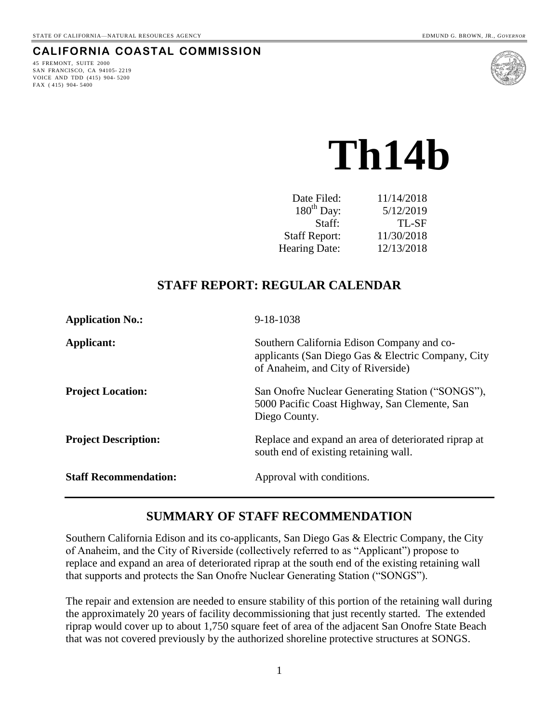## **CALIFORNIA COASTAL COMMISSION**

45 FREMONT, SUITE 2000 SAN FRANCISCO, CA 94105- 2219 VOICE AND TDD (415) 904- 5200 FAX ( 415) 904- 5400



# **Th14b**

| Date Filed:          | 11/14/2018 |
|----------------------|------------|
| $180^{th}$ Day:      | 5/12/2019  |
| Staff:               | TL-SF      |
| <b>Staff Report:</b> | 11/30/2018 |
| Hearing Date:        | 12/13/2018 |
|                      |            |

## **STAFF REPORT: REGULAR CALENDAR**

| <b>Application No.:</b>      | $9 - 18 - 1038$                                                                                                                        |
|------------------------------|----------------------------------------------------------------------------------------------------------------------------------------|
| Applicant:                   | Southern California Edison Company and co-<br>applicants (San Diego Gas & Electric Company, City<br>of Anaheim, and City of Riverside) |
| <b>Project Location:</b>     | San Onofre Nuclear Generating Station ("SONGS"),<br>5000 Pacific Coast Highway, San Clemente, San<br>Diego County.                     |
| <b>Project Description:</b>  | Replace and expand an area of deteriorated riprap at<br>south end of existing retaining wall.                                          |
| <b>Staff Recommendation:</b> | Approval with conditions.                                                                                                              |

## **SUMMARY OF STAFF RECOMMENDATION**

Southern California Edison and its co-applicants, San Diego Gas & Electric Company, the City of Anaheim, and the City of Riverside (collectively referred to as "Applicant") propose to replace and expand an area of deteriorated riprap at the south end of the existing retaining wall that supports and protects the San Onofre Nuclear Generating Station ("SONGS").

The repair and extension are needed to ensure stability of this portion of the retaining wall during the approximately 20 years of facility decommissioning that just recently started. The extended riprap would cover up to about 1,750 square feet of area of the adjacent San Onofre State Beach that was not covered previously by the authorized shoreline protective structures at SONGS.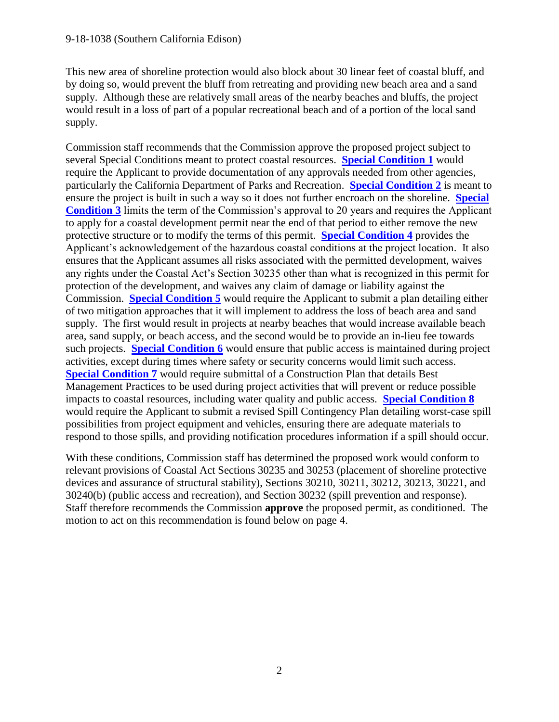This new area of shoreline protection would also block about 30 linear feet of coastal bluff, and by doing so, would prevent the bluff from retreating and providing new beach area and a sand supply. Although these are relatively small areas of the nearby beaches and bluffs, the project would result in a loss of part of a popular recreational beach and of a portion of the local sand supply.

Commission staff recommends that the Commission approve the proposed project subject to several Special Conditions meant to protect coastal resources. **[Special Condition 1](#page-4-0)** would require the Applicant to provide documentation of any approvals needed from other agencies, particularly the California Department of Parks and Recreation. **[Special Condition 2](#page-4-1)** is meant to ensure the project is built in such a way so it does not further encroach on the shoreline. **[Special](#page-4-2)  [Condition 3](#page-4-2)** limits the term of the Commission's approval to 20 years and requires the Applicant to apply for a coastal development permit near the end of that period to either remove the new protective structure or to modify the terms of this permit. **[Special Condition 4](#page-4-3)** provides the Applicant's acknowledgement of the hazardous coastal conditions at the project location. It also ensures that the Applicant assumes all risks associated with the permitted development, waives any rights under the Coastal Act's Section 30235 other than what is recognized in this permit for protection of the development, and waives any claim of damage or liability against the Commission. **[Special Condition 5](#page-5-0)** would require the Applicant to submit a plan detailing either of two mitigation approaches that it will implement to address the loss of beach area and sand supply. The first would result in projects at nearby beaches that would increase available beach area, sand supply, or beach access, and the second would be to provide an in-lieu fee towards such projects. **[Special Condition 6](#page-5-1)** would ensure that public access is maintained during project activities, except during times where safety or security concerns would limit such access. **[Special Condition 7](#page-6-0)** would require submittal of a Construction Plan that details Best Management Practices to be used during project activities that will prevent or reduce possible impacts to coastal resources, including water quality and public access. **[Special Condition 8](#page-7-0)** would require the Applicant to submit a revised Spill Contingency Plan detailing worst-case spill possibilities from project equipment and vehicles, ensuring there are adequate materials to respond to those spills, and providing notification procedures information if a spill should occur.

With these conditions, Commission staff has determined the proposed work would conform to relevant provisions of Coastal Act Sections 30235 and 30253 (placement of shoreline protective devices and assurance of structural stability), Sections 30210, 30211, 30212, 30213, 30221, and 30240(b) (public access and recreation), and Section 30232 (spill prevention and response). Staff therefore recommends the Commission **approve** the proposed permit, as conditioned. The motion to act on this recommendation is found below on page 4.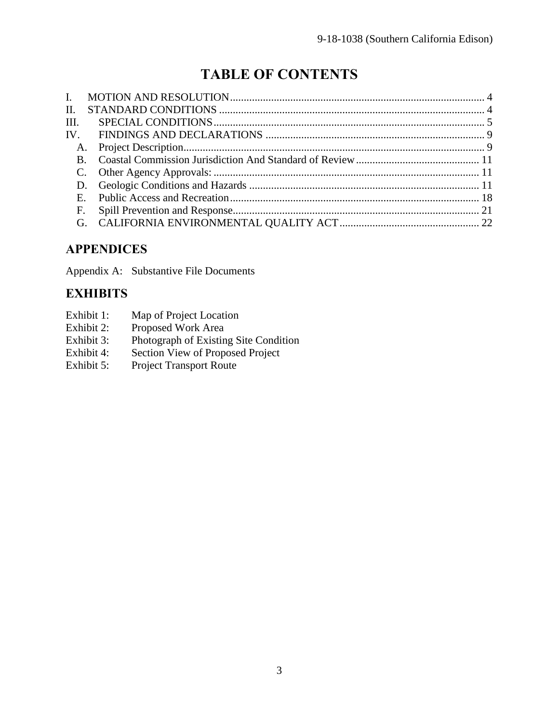# **TABLE OF CONTENTS**

| II.          |              |  |
|--------------|--------------|--|
| III.         |              |  |
| IV.          |              |  |
|              |              |  |
|              | $\mathbf{B}$ |  |
|              |              |  |
|              |              |  |
| $\mathbf{E}$ |              |  |
|              | F.           |  |
|              |              |  |

# **APPENDICES**

Appendix A: Substantive File Documents

# **EXHIBITS**

- Exhibit 1: Map of Project Location
- Exhibit 2: Proposed Work Area
- Exhibit 3: Photograph of Existing Site Condition
- Exhibit 4: Section View of Proposed Project
- Exhibit 5: Project Transport Route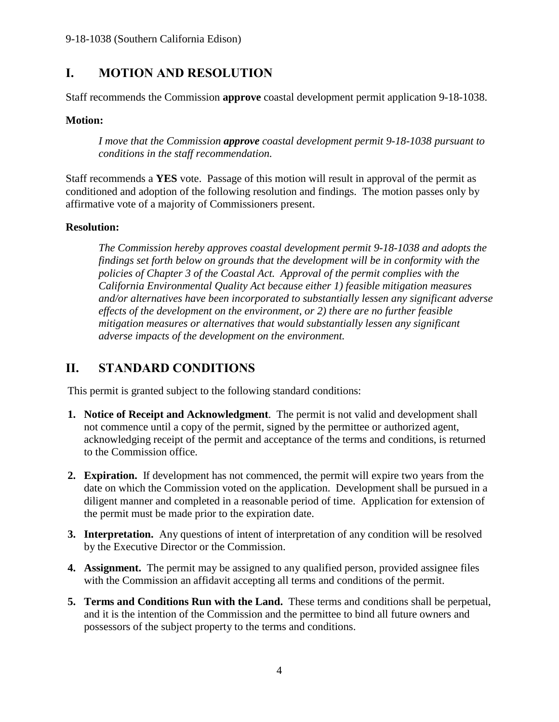## <span id="page-3-0"></span>**I. MOTION AND RESOLUTION**

Staff recommends the Commission **approve** coastal development permit application 9-18-1038.

#### **Motion:**

*I move that the Commission approve coastal development permit 9-18-1038 pursuant to conditions in the staff recommendation.*

Staff recommends a **YES** vote. Passage of this motion will result in approval of the permit as conditioned and adoption of the following resolution and findings. The motion passes only by affirmative vote of a majority of Commissioners present.

#### **Resolution:**

*The Commission hereby approves coastal development permit 9-18-1038 and adopts the findings set forth below on grounds that the development will be in conformity with the policies of Chapter 3 of the Coastal Act. Approval of the permit complies with the California Environmental Quality Act because either 1) feasible mitigation measures and/or alternatives have been incorporated to substantially lessen any significant adverse effects of the development on the environment, or 2) there are no further feasible mitigation measures or alternatives that would substantially lessen any significant adverse impacts of the development on the environment.*

## <span id="page-3-1"></span>**II. STANDARD CONDITIONS**

This permit is granted subject to the following standard conditions:

- **1. Notice of Receipt and Acknowledgment**. The permit is not valid and development shall not commence until a copy of the permit, signed by the permittee or authorized agent, acknowledging receipt of the permit and acceptance of the terms and conditions, is returned to the Commission office.
- **2. Expiration.** If development has not commenced, the permit will expire two years from the date on which the Commission voted on the application. Development shall be pursued in a diligent manner and completed in a reasonable period of time. Application for extension of the permit must be made prior to the expiration date.
- **3. Interpretation.** Any questions of intent of interpretation of any condition will be resolved by the Executive Director or the Commission.
- **4. Assignment.** The permit may be assigned to any qualified person, provided assignee files with the Commission an affidavit accepting all terms and conditions of the permit.
- **5. Terms and Conditions Run with the Land.** These terms and conditions shall be perpetual, and it is the intention of the Commission and the permittee to bind all future owners and possessors of the subject property to the terms and conditions.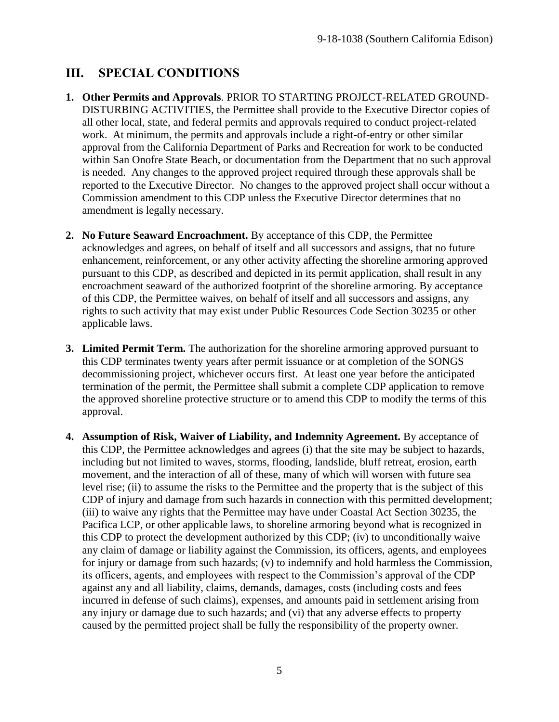## <span id="page-4-4"></span>**III. SPECIAL CONDITIONS**

- <span id="page-4-0"></span>**1. Other Permits and Approvals**. PRIOR TO STARTING PROJECT-RELATED GROUND-DISTURBING ACTIVITIES, the Permittee shall provide to the Executive Director copies of all other local, state, and federal permits and approvals required to conduct project-related work. At minimum, the permits and approvals include a right-of-entry or other similar approval from the California Department of Parks and Recreation for work to be conducted within San Onofre State Beach, or documentation from the Department that no such approval is needed. Any changes to the approved project required through these approvals shall be reported to the Executive Director. No changes to the approved project shall occur without a Commission amendment to this CDP unless the Executive Director determines that no amendment is legally necessary.
- <span id="page-4-1"></span>**2. No Future Seaward Encroachment.** By acceptance of this CDP, the Permittee acknowledges and agrees, on behalf of itself and all successors and assigns, that no future enhancement, reinforcement, or any other activity affecting the shoreline armoring approved pursuant to this CDP, as described and depicted in its permit application, shall result in any encroachment seaward of the authorized footprint of the shoreline armoring. By acceptance of this CDP, the Permittee waives, on behalf of itself and all successors and assigns, any rights to such activity that may exist under Public Resources Code Section 30235 or other applicable laws.
- <span id="page-4-2"></span>**3. Limited Permit Term.** The authorization for the shoreline armoring approved pursuant to this CDP terminates twenty years after permit issuance or at completion of the SONGS decommissioning project, whichever occurs first. At least one year before the anticipated termination of the permit, the Permittee shall submit a complete CDP application to remove the approved shoreline protective structure or to amend this CDP to modify the terms of this approval.
- <span id="page-4-3"></span>**4. Assumption of Risk, Waiver of Liability, and Indemnity Agreement.** By acceptance of this CDP, the Permittee acknowledges and agrees (i) that the site may be subject to hazards, including but not limited to waves, storms, flooding, landslide, bluff retreat, erosion, earth movement, and the interaction of all of these, many of which will worsen with future sea level rise; (ii) to assume the risks to the Permittee and the property that is the subject of this CDP of injury and damage from such hazards in connection with this permitted development; (iii) to waive any rights that the Permittee may have under Coastal Act Section 30235, the Pacifica LCP, or other applicable laws, to shoreline armoring beyond what is recognized in this CDP to protect the development authorized by this CDP; (iv) to unconditionally waive any claim of damage or liability against the Commission, its officers, agents, and employees for injury or damage from such hazards; (v) to indemnify and hold harmless the Commission, its officers, agents, and employees with respect to the Commission's approval of the CDP against any and all liability, claims, demands, damages, costs (including costs and fees incurred in defense of such claims), expenses, and amounts paid in settlement arising from any injury or damage due to such hazards; and (vi) that any adverse effects to property caused by the permitted project shall be fully the responsibility of the property owner.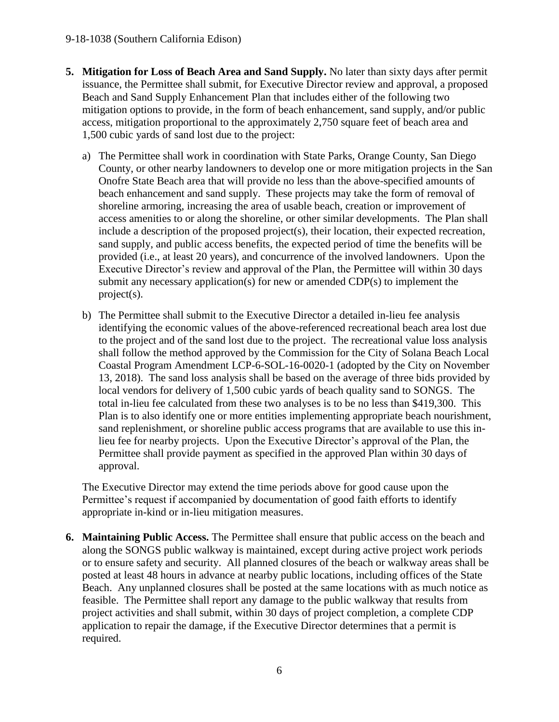- <span id="page-5-0"></span>**5. Mitigation for Loss of Beach Area and Sand Supply.** No later than sixty days after permit issuance, the Permittee shall submit, for Executive Director review and approval, a proposed Beach and Sand Supply Enhancement Plan that includes either of the following two mitigation options to provide, in the form of beach enhancement, sand supply, and/or public access, mitigation proportional to the approximately 2,750 square feet of beach area and 1,500 cubic yards of sand lost due to the project:
	- a) The Permittee shall work in coordination with State Parks, Orange County, San Diego County, or other nearby landowners to develop one or more mitigation projects in the San Onofre State Beach area that will provide no less than the above-specified amounts of beach enhancement and sand supply. These projects may take the form of removal of shoreline armoring, increasing the area of usable beach, creation or improvement of access amenities to or along the shoreline, or other similar developments. The Plan shall include a description of the proposed project(s), their location, their expected recreation, sand supply, and public access benefits, the expected period of time the benefits will be provided (i.e., at least 20 years), and concurrence of the involved landowners. Upon the Executive Director's review and approval of the Plan, the Permittee will within 30 days submit any necessary application(s) for new or amended CDP(s) to implement the project(s).
	- b) The Permittee shall submit to the Executive Director a detailed in-lieu fee analysis identifying the economic values of the above-referenced recreational beach area lost due to the project and of the sand lost due to the project. The recreational value loss analysis shall follow the method approved by the Commission for the City of Solana Beach Local Coastal Program Amendment LCP-6-SOL-16-0020-1 (adopted by the City on November 13, 2018). The sand loss analysis shall be based on the average of three bids provided by local vendors for delivery of 1,500 cubic yards of beach quality sand to SONGS. The total in-lieu fee calculated from these two analyses is to be no less than \$419,300. This Plan is to also identify one or more entities implementing appropriate beach nourishment, sand replenishment, or shoreline public access programs that are available to use this inlieu fee for nearby projects. Upon the Executive Director's approval of the Plan, the Permittee shall provide payment as specified in the approved Plan within 30 days of approval.

The Executive Director may extend the time periods above for good cause upon the Permittee's request if accompanied by documentation of good faith efforts to identify appropriate in-kind or in-lieu mitigation measures.

<span id="page-5-1"></span>**6. Maintaining Public Access.** The Permittee shall ensure that public access on the beach and along the SONGS public walkway is maintained, except during active project work periods or to ensure safety and security. All planned closures of the beach or walkway areas shall be posted at least 48 hours in advance at nearby public locations, including offices of the State Beach. Any unplanned closures shall be posted at the same locations with as much notice as feasible. The Permittee shall report any damage to the public walkway that results from project activities and shall submit, within 30 days of project completion, a complete CDP application to repair the damage, if the Executive Director determines that a permit is required.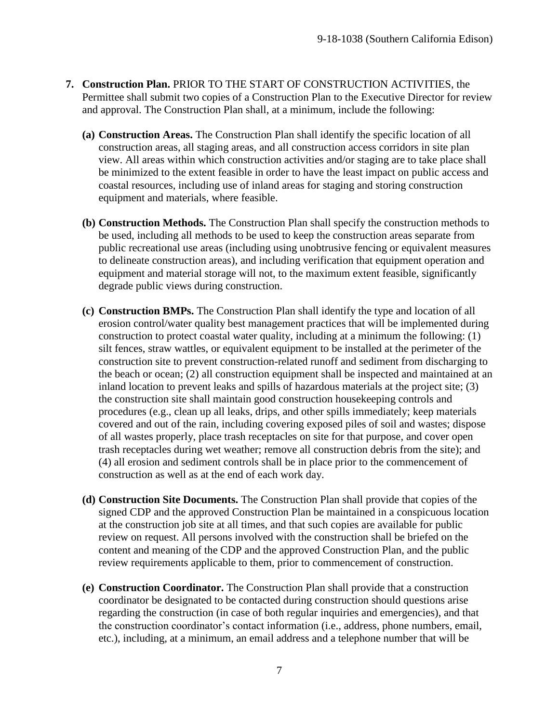- <span id="page-6-0"></span>**7. Construction Plan.** PRIOR TO THE START OF CONSTRUCTION ACTIVITIES, the Permittee shall submit two copies of a Construction Plan to the Executive Director for review and approval. The Construction Plan shall, at a minimum, include the following:
	- **(a) Construction Areas.** The Construction Plan shall identify the specific location of all construction areas, all staging areas, and all construction access corridors in site plan view. All areas within which construction activities and/or staging are to take place shall be minimized to the extent feasible in order to have the least impact on public access and coastal resources, including use of inland areas for staging and storing construction equipment and materials, where feasible.
	- **(b) Construction Methods.** The Construction Plan shall specify the construction methods to be used, including all methods to be used to keep the construction areas separate from public recreational use areas (including using unobtrusive fencing or equivalent measures to delineate construction areas), and including verification that equipment operation and equipment and material storage will not, to the maximum extent feasible, significantly degrade public views during construction.
	- **(c) Construction BMPs.** The Construction Plan shall identify the type and location of all erosion control/water quality best management practices that will be implemented during construction to protect coastal water quality, including at a minimum the following: (1) silt fences, straw wattles, or equivalent equipment to be installed at the perimeter of the construction site to prevent construction-related runoff and sediment from discharging to the beach or ocean; (2) all construction equipment shall be inspected and maintained at an inland location to prevent leaks and spills of hazardous materials at the project site; (3) the construction site shall maintain good construction housekeeping controls and procedures (e.g., clean up all leaks, drips, and other spills immediately; keep materials covered and out of the rain, including covering exposed piles of soil and wastes; dispose of all wastes properly, place trash receptacles on site for that purpose, and cover open trash receptacles during wet weather; remove all construction debris from the site); and (4) all erosion and sediment controls shall be in place prior to the commencement of construction as well as at the end of each work day.
	- **(d) Construction Site Documents.** The Construction Plan shall provide that copies of the signed CDP and the approved Construction Plan be maintained in a conspicuous location at the construction job site at all times, and that such copies are available for public review on request. All persons involved with the construction shall be briefed on the content and meaning of the CDP and the approved Construction Plan, and the public review requirements applicable to them, prior to commencement of construction.
	- **(e) Construction Coordinator.** The Construction Plan shall provide that a construction coordinator be designated to be contacted during construction should questions arise regarding the construction (in case of both regular inquiries and emergencies), and that the construction coordinator's contact information (i.e., address, phone numbers, email, etc.), including, at a minimum, an email address and a telephone number that will be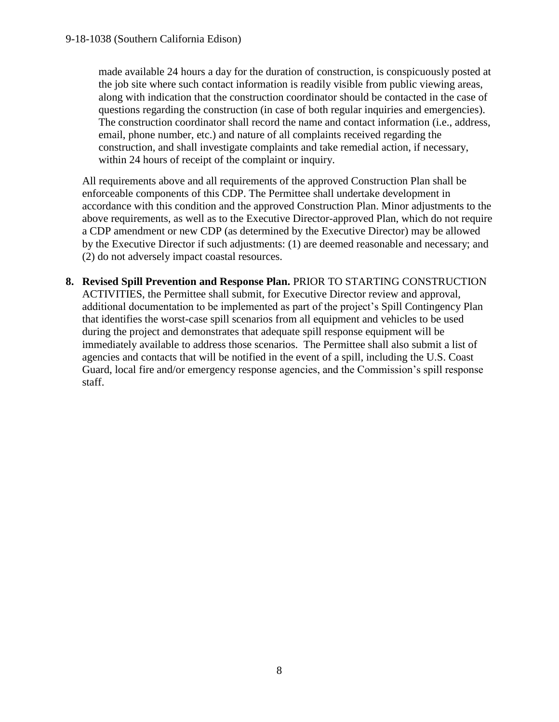made available 24 hours a day for the duration of construction, is conspicuously posted at the job site where such contact information is readily visible from public viewing areas, along with indication that the construction coordinator should be contacted in the case of questions regarding the construction (in case of both regular inquiries and emergencies). The construction coordinator shall record the name and contact information (i.e., address, email, phone number, etc.) and nature of all complaints received regarding the construction, and shall investigate complaints and take remedial action, if necessary, within 24 hours of receipt of the complaint or inquiry.

All requirements above and all requirements of the approved Construction Plan shall be enforceable components of this CDP. The Permittee shall undertake development in accordance with this condition and the approved Construction Plan. Minor adjustments to the above requirements, as well as to the Executive Director-approved Plan, which do not require a CDP amendment or new CDP (as determined by the Executive Director) may be allowed by the Executive Director if such adjustments: (1) are deemed reasonable and necessary; and (2) do not adversely impact coastal resources.

<span id="page-7-0"></span>**8. Revised Spill Prevention and Response Plan.** PRIOR TO STARTING CONSTRUCTION ACTIVITIES, the Permittee shall submit, for Executive Director review and approval, additional documentation to be implemented as part of the project's Spill Contingency Plan that identifies the worst-case spill scenarios from all equipment and vehicles to be used during the project and demonstrates that adequate spill response equipment will be immediately available to address those scenarios. The Permittee shall also submit a list of agencies and contacts that will be notified in the event of a spill, including the U.S. Coast Guard, local fire and/or emergency response agencies, and the Commission's spill response staff.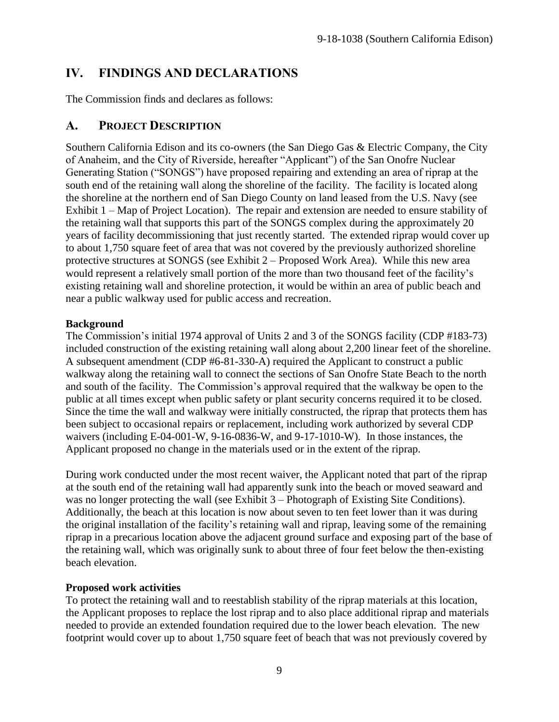## <span id="page-8-0"></span>**IV. FINDINGS AND DECLARATIONS**

The Commission finds and declares as follows:

## <span id="page-8-1"></span>**A. PROJECT DESCRIPTION**

Southern California Edison and its co-owners (the San Diego Gas & Electric Company, the City of Anaheim, and the City of Riverside, hereafter "Applicant") of the San Onofre Nuclear Generating Station ("SONGS") have proposed repairing and extending an area of riprap at the south end of the retaining wall along the shoreline of the facility. The facility is located along the shoreline at the northern end of San Diego County on land leased from the U.S. Navy (see Exhibit 1 – Map of Project Location). The repair and extension are needed to ensure stability of the retaining wall that supports this part of the SONGS complex during the approximately 20 years of facility decommissioning that just recently started. The extended riprap would cover up to about 1,750 square feet of area that was not covered by the previously authorized shoreline protective structures at SONGS (see Exhibit 2 – Proposed Work Area). While this new area would represent a relatively small portion of the more than two thousand feet of the facility's existing retaining wall and shoreline protection, it would be within an area of public beach and near a public walkway used for public access and recreation.

## **Background**

The Commission's initial 1974 approval of Units 2 and 3 of the SONGS facility (CDP #183-73) included construction of the existing retaining wall along about 2,200 linear feet of the shoreline. A subsequent amendment (CDP #6-81-330-A) required the Applicant to construct a public walkway along the retaining wall to connect the sections of San Onofre State Beach to the north and south of the facility. The Commission's approval required that the walkway be open to the public at all times except when public safety or plant security concerns required it to be closed. Since the time the wall and walkway were initially constructed, the riprap that protects them has been subject to occasional repairs or replacement, including work authorized by several CDP waivers (including E-04-001-W, 9-16-0836-W, and 9-17-1010-W). In those instances, the Applicant proposed no change in the materials used or in the extent of the riprap.

During work conducted under the most recent waiver, the Applicant noted that part of the riprap at the south end of the retaining wall had apparently sunk into the beach or moved seaward and was no longer protecting the wall (see Exhibit 3 – Photograph of Existing Site Conditions). Additionally, the beach at this location is now about seven to ten feet lower than it was during the original installation of the facility's retaining wall and riprap, leaving some of the remaining riprap in a precarious location above the adjacent ground surface and exposing part of the base of the retaining wall, which was originally sunk to about three of four feet below the then-existing beach elevation.

#### **Proposed work activities**

To protect the retaining wall and to reestablish stability of the riprap materials at this location, the Applicant proposes to replace the lost riprap and to also place additional riprap and materials needed to provide an extended foundation required due to the lower beach elevation. The new footprint would cover up to about 1,750 square feet of beach that was not previously covered by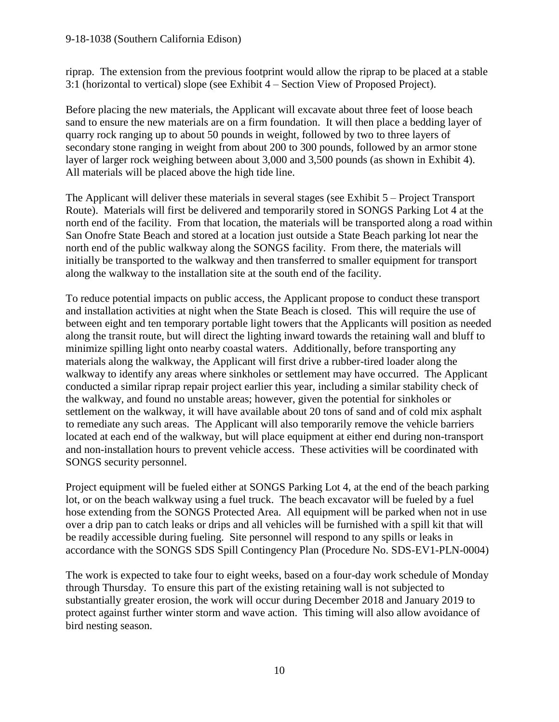riprap. The extension from the previous footprint would allow the riprap to be placed at a stable 3:1 (horizontal to vertical) slope (see Exhibit 4 – Section View of Proposed Project).

Before placing the new materials, the Applicant will excavate about three feet of loose beach sand to ensure the new materials are on a firm foundation. It will then place a bedding layer of quarry rock ranging up to about 50 pounds in weight, followed by two to three layers of secondary stone ranging in weight from about 200 to 300 pounds, followed by an armor stone layer of larger rock weighing between about 3,000 and 3,500 pounds (as shown in Exhibit 4). All materials will be placed above the high tide line.

The Applicant will deliver these materials in several stages (see Exhibit 5 – Project Transport Route). Materials will first be delivered and temporarily stored in SONGS Parking Lot 4 at the north end of the facility. From that location, the materials will be transported along a road within San Onofre State Beach and stored at a location just outside a State Beach parking lot near the north end of the public walkway along the SONGS facility. From there, the materials will initially be transported to the walkway and then transferred to smaller equipment for transport along the walkway to the installation site at the south end of the facility.

To reduce potential impacts on public access, the Applicant propose to conduct these transport and installation activities at night when the State Beach is closed. This will require the use of between eight and ten temporary portable light towers that the Applicants will position as needed along the transit route, but will direct the lighting inward towards the retaining wall and bluff to minimize spilling light onto nearby coastal waters. Additionally, before transporting any materials along the walkway, the Applicant will first drive a rubber-tired loader along the walkway to identify any areas where sinkholes or settlement may have occurred. The Applicant conducted a similar riprap repair project earlier this year, including a similar stability check of the walkway, and found no unstable areas; however, given the potential for sinkholes or settlement on the walkway, it will have available about 20 tons of sand and of cold mix asphalt to remediate any such areas. The Applicant will also temporarily remove the vehicle barriers located at each end of the walkway, but will place equipment at either end during non-transport and non-installation hours to prevent vehicle access. These activities will be coordinated with SONGS security personnel.

Project equipment will be fueled either at SONGS Parking Lot 4, at the end of the beach parking lot, or on the beach walkway using a fuel truck. The beach excavator will be fueled by a fuel hose extending from the SONGS Protected Area. All equipment will be parked when not in use over a drip pan to catch leaks or drips and all vehicles will be furnished with a spill kit that will be readily accessible during fueling. Site personnel will respond to any spills or leaks in accordance with the SONGS SDS Spill Contingency Plan (Procedure No. SDS-EV1-PLN-0004)

The work is expected to take four to eight weeks, based on a four-day work schedule of Monday through Thursday. To ensure this part of the existing retaining wall is not subjected to substantially greater erosion, the work will occur during December 2018 and January 2019 to protect against further winter storm and wave action. This timing will also allow avoidance of bird nesting season.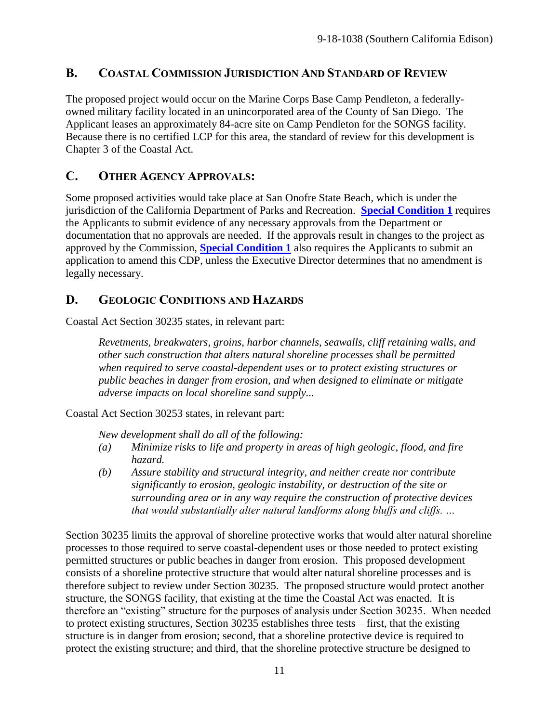## <span id="page-10-0"></span>**B. COASTAL COMMISSION JURISDICTION AND STANDARD OF REVIEW**

The proposed project would occur on the Marine Corps Base Camp Pendleton, a federallyowned military facility located in an unincorporated area of the County of San Diego. The Applicant leases an approximately 84-acre site on Camp Pendleton for the SONGS facility. Because there is no certified LCP for this area, the standard of review for this development is Chapter 3 of the Coastal Act.

## <span id="page-10-1"></span>**C. OTHER AGENCY APPROVALS:**

Some proposed activities would take place at San Onofre State Beach, which is under the jurisdiction of the California Department of Parks and Recreation. **[Special Condition 1](#page-4-0)** requires the Applicants to submit evidence of any necessary approvals from the Department or documentation that no approvals are needed. If the approvals result in changes to the project as approved by the Commission, **[Special Condition 1](#page-4-0)** also requires the Applicants to submit an application to amend this CDP, unless the Executive Director determines that no amendment is legally necessary.

## <span id="page-10-2"></span>**D. GEOLOGIC CONDITIONS AND HAZARDS**

Coastal Act Section 30235 states, in relevant part:

*Revetments, breakwaters, groins, harbor channels, seawalls, cliff retaining walls, and other such construction that alters natural shoreline processes shall be permitted when required to serve coastal-dependent uses or to protect existing structures or public beaches in danger from erosion, and when designed to eliminate or mitigate adverse impacts on local shoreline sand supply...*

Coastal Act Section 30253 states, in relevant part:

*New development shall do all of the following:*

- *(a) Minimize risks to life and property in areas of high geologic, flood, and fire hazard.*
- *(b) Assure stability and structural integrity, and neither create nor contribute significantly to erosion, geologic instability, or destruction of the site or surrounding area or in any way require the construction of protective devices that would substantially alter natural landforms along bluffs and cliffs. …*

Section 30235 limits the approval of shoreline protective works that would alter natural shoreline processes to those required to serve coastal-dependent uses or those needed to protect existing permitted structures or public beaches in danger from erosion. This proposed development consists of a shoreline protective structure that would alter natural shoreline processes and is therefore subject to review under Section 30235. The proposed structure would protect another structure, the SONGS facility, that existing at the time the Coastal Act was enacted. It is therefore an "existing" structure for the purposes of analysis under Section 30235. When needed to protect existing structures, Section 30235 establishes three tests – first, that the existing structure is in danger from erosion; second, that a shoreline protective device is required to protect the existing structure; and third, that the shoreline protective structure be designed to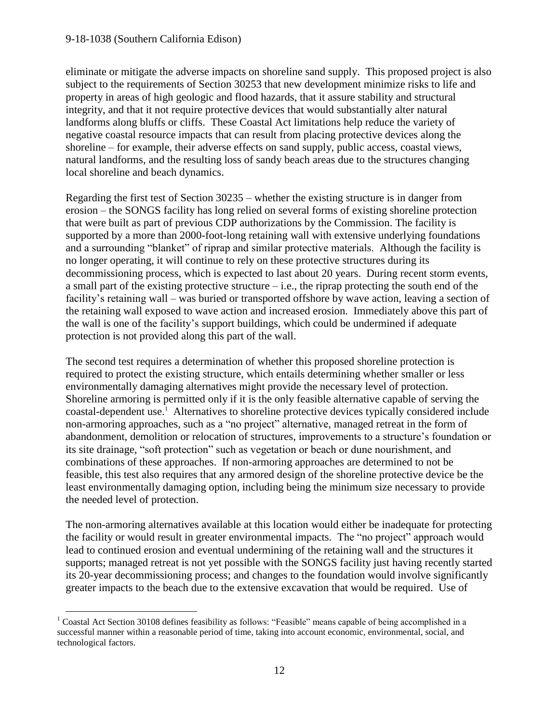eliminate or mitigate the adverse impacts on shoreline sand supply. This proposed project is also subject to the requirements of Section 30253 that new development minimize risks to life and property in areas of high geologic and flood hazards, that it assure stability and structural integrity, and that it not require protective devices that would substantially alter natural landforms along bluffs or cliffs. These Coastal Act limitations help reduce the variety of negative coastal resource impacts that can result from placing protective devices along the shoreline – for example, their adverse effects on sand supply, public access, coastal views, natural landforms, and the resulting loss of sandy beach areas due to the structures changing local shoreline and beach dynamics.

Regarding the first test of Section 30235 – whether the existing structure is in danger from erosion – the SONGS facility has long relied on several forms of existing shoreline protection that were built as part of previous CDP authorizations by the Commission. The facility is supported by a more than 2000-foot-long retaining wall with extensive underlying foundations and a surrounding "blanket" of riprap and similar protective materials. Although the facility is no longer operating, it will continue to rely on these protective structures during its decommissioning process, which is expected to last about 20 years. During recent storm events, a small part of the existing protective structure  $-$  i.e., the riprap protecting the south end of the facility's retaining wall – was buried or transported offshore by wave action, leaving a section of the retaining wall exposed to wave action and increased erosion. Immediately above this part of the wall is one of the facility's support buildings, which could be undermined if adequate protection is not provided along this part of the wall.

The second test requires a determination of whether this proposed shoreline protection is required to protect the existing structure, which entails determining whether smaller or less environmentally damaging alternatives might provide the necessary level of protection. Shoreline armoring is permitted only if it is the only feasible alternative capable of serving the coastal-dependent use. <sup>1</sup> Alternatives to shoreline protective devices typically considered include non-armoring approaches, such as a "no project" alternative, managed retreat in the form of abandonment, demolition or relocation of structures, improvements to a structure's foundation or its site drainage, "soft protection" such as vegetation or beach or dune nourishment, and combinations of these approaches. If non-armoring approaches are determined to not be feasible, this test also requires that any armored design of the shoreline protective device be the least environmentally damaging option, including being the minimum size necessary to provide the needed level of protection.

The non-armoring alternatives available at this location would either be inadequate for protecting the facility or would result in greater environmental impacts. The "no project" approach would lead to continued erosion and eventual undermining of the retaining wall and the structures it supports; managed retreat is not yet possible with the SONGS facility just having recently started its 20-year decommissioning process; and changes to the foundation would involve significantly greater impacts to the beach due to the extensive excavation that would be required. Use of

 $\overline{a}$ <sup>1</sup> Coastal Act Section 30108 defines feasibility as follows: "Feasible" means capable of being accomplished in a successful manner within a reasonable period of time, taking into account economic, environmental, social, and technological factors.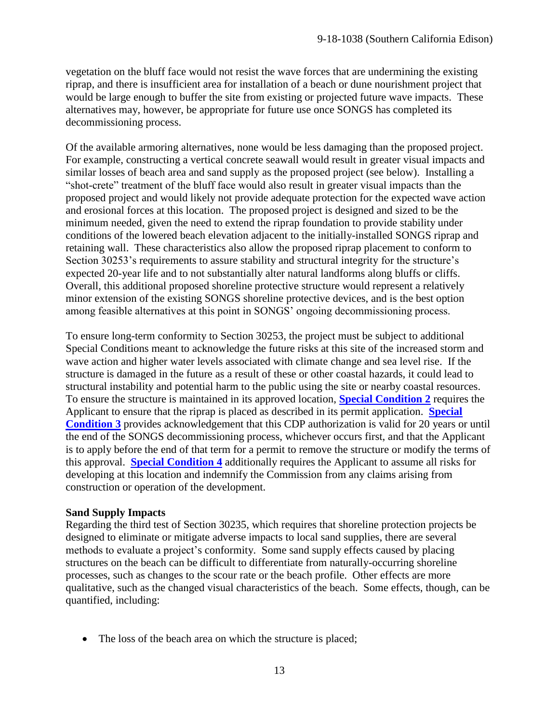vegetation on the bluff face would not resist the wave forces that are undermining the existing riprap, and there is insufficient area for installation of a beach or dune nourishment project that would be large enough to buffer the site from existing or projected future wave impacts. These alternatives may, however, be appropriate for future use once SONGS has completed its decommissioning process.

Of the available armoring alternatives, none would be less damaging than the proposed project. For example, constructing a vertical concrete seawall would result in greater visual impacts and similar losses of beach area and sand supply as the proposed project (see below). Installing a "shot-crete" treatment of the bluff face would also result in greater visual impacts than the proposed project and would likely not provide adequate protection for the expected wave action and erosional forces at this location. The proposed project is designed and sized to be the minimum needed, given the need to extend the riprap foundation to provide stability under conditions of the lowered beach elevation adjacent to the initially-installed SONGS riprap and retaining wall. These characteristics also allow the proposed riprap placement to conform to Section 30253's requirements to assure stability and structural integrity for the structure's expected 20-year life and to not substantially alter natural landforms along bluffs or cliffs. Overall, this additional proposed shoreline protective structure would represent a relatively minor extension of the existing SONGS shoreline protective devices, and is the best option among feasible alternatives at this point in SONGS' ongoing decommissioning process.

To ensure long-term conformity to Section 30253, the project must be subject to additional Special Conditions meant to acknowledge the future risks at this site of the increased storm and wave action and higher water levels associated with climate change and sea level rise. If the structure is damaged in the future as a result of these or other coastal hazards, it could lead to structural instability and potential harm to the public using the site or nearby coastal resources. To ensure the structure is maintained in its approved location, **[Special Condition 2](#page-4-1)** requires the Applicant to ensure that the riprap is placed as described in its permit application. **[Special](#page-4-2)  [Condition 3](#page-4-2)** provides acknowledgement that this CDP authorization is valid for 20 years or until the end of the SONGS decommissioning process, whichever occurs first, and that the Applicant is to apply before the end of that term for a permit to remove the structure or modify the terms of this approval. **[Special Condition](#page-4-3) 4** additionally requires the Applicant to assume all risks for developing at this location and indemnify the Commission from any claims arising from construction or operation of the development.

#### **Sand Supply Impacts**

Regarding the third test of Section 30235, which requires that shoreline protection projects be designed to eliminate or mitigate adverse impacts to local sand supplies, there are several methods to evaluate a project's conformity. Some sand supply effects caused by placing structures on the beach can be difficult to differentiate from naturally-occurring shoreline processes, such as changes to the scour rate or the beach profile. Other effects are more qualitative, such as the changed visual characteristics of the beach. Some effects, though, can be quantified, including:

• The loss of the beach area on which the structure is placed;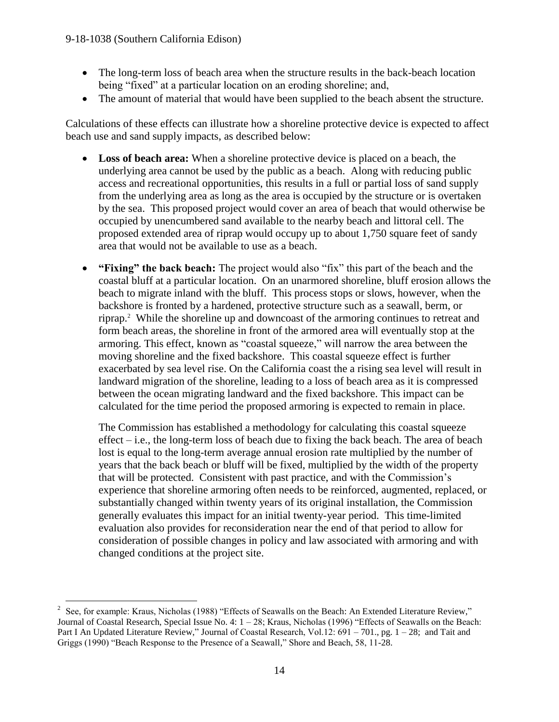- The long-term loss of beach area when the structure results in the back-beach location being "fixed" at a particular location on an eroding shoreline; and,
- The amount of material that would have been supplied to the beach absent the structure.

Calculations of these effects can illustrate how a shoreline protective device is expected to affect beach use and sand supply impacts, as described below:

- **Loss of beach area:** When a shoreline protective device is placed on a beach, the underlying area cannot be used by the public as a beach. Along with reducing public access and recreational opportunities, this results in a full or partial loss of sand supply from the underlying area as long as the area is occupied by the structure or is overtaken by the sea. This proposed project would cover an area of beach that would otherwise be occupied by unencumbered sand available to the nearby beach and littoral cell. The proposed extended area of riprap would occupy up to about 1,750 square feet of sandy area that would not be available to use as a beach.
- **"Fixing" the back beach:** The project would also "fix" this part of the beach and the coastal bluff at a particular location. On an unarmored shoreline, bluff erosion allows the beach to migrate inland with the bluff. This process stops or slows, however, when the backshore is fronted by a hardened, protective structure such as a seawall, berm, or riprap. <sup>2</sup> While the shoreline up and downcoast of the armoring continues to retreat and form beach areas, the shoreline in front of the armored area will eventually stop at the armoring. This effect, known as "coastal squeeze," will narrow the area between the moving shoreline and the fixed backshore. This coastal squeeze effect is further exacerbated by sea level rise. On the California coast the a rising sea level will result in landward migration of the shoreline, leading to a loss of beach area as it is compressed between the ocean migrating landward and the fixed backshore. This impact can be calculated for the time period the proposed armoring is expected to remain in place.

The Commission has established a methodology for calculating this coastal squeeze effect – i.e., the long-term loss of beach due to fixing the back beach. The area of beach lost is equal to the long-term average annual erosion rate multiplied by the number of years that the back beach or bluff will be fixed, multiplied by the width of the property that will be protected. Consistent with past practice, and with the Commission's experience that shoreline armoring often needs to be reinforced, augmented, replaced, or substantially changed within twenty years of its original installation, the Commission generally evaluates this impact for an initial twenty-year period. This time-limited evaluation also provides for reconsideration near the end of that period to allow for consideration of possible changes in policy and law associated with armoring and with changed conditions at the project site.

<sup>&</sup>lt;sup>2</sup> See, for example: Kraus, Nicholas (1988) "Effects of Seawalls on the Beach: An Extended Literature Review," Journal of Coastal Research, Special Issue No. 4: 1 – 28; Kraus, Nicholas (1996) "Effects of Seawalls on the Beach: Part I An Updated Literature Review," Journal of Coastal Research, Vol.12: 691 – 701., pg. 1 – 28; and Tait and Griggs (1990) "Beach Response to the Presence of a Seawall," Shore and Beach, 58, 11-28.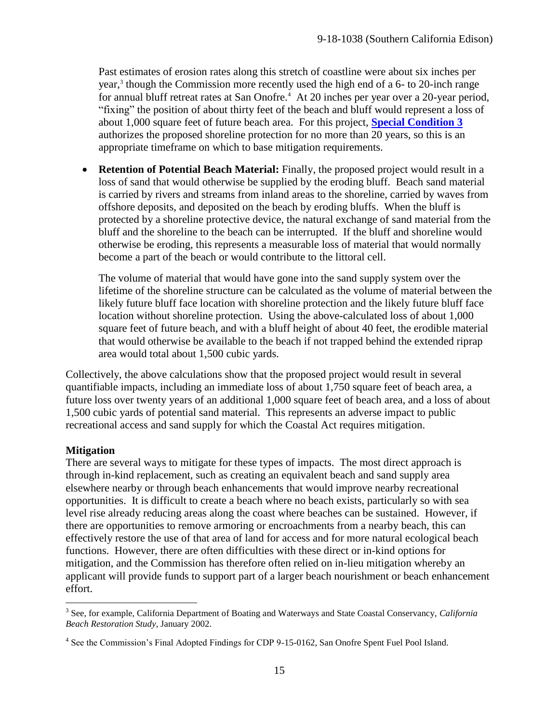Past estimates of erosion rates along this stretch of coastline were about six inches per year, 3 though the Commission more recently used the high end of a 6- to 20-inch range for annual bluff retreat rates at San Onofre.<sup>4</sup> At 20 inches per year over a 20-year period, "fixing" the position of about thirty feet of the beach and bluff would represent a loss of about 1,000 square feet of future beach area. For this project, **[Special Condition 3](#page-4-2)** authorizes the proposed shoreline protection for no more than 20 years, so this is an appropriate timeframe on which to base mitigation requirements.

 **Retention of Potential Beach Material:** Finally, the proposed project would result in a loss of sand that would otherwise be supplied by the eroding bluff. Beach sand material is carried by rivers and streams from inland areas to the shoreline, carried by waves from offshore deposits, and deposited on the beach by eroding bluffs. When the bluff is protected by a shoreline protective device, the natural exchange of sand material from the bluff and the shoreline to the beach can be interrupted. If the bluff and shoreline would otherwise be eroding, this represents a measurable loss of material that would normally become a part of the beach or would contribute to the littoral cell.

The volume of material that would have gone into the sand supply system over the lifetime of the shoreline structure can be calculated as the volume of material between the likely future bluff face location with shoreline protection and the likely future bluff face location without shoreline protection. Using the above-calculated loss of about 1,000 square feet of future beach, and with a bluff height of about 40 feet, the erodible material that would otherwise be available to the beach if not trapped behind the extended riprap area would total about 1,500 cubic yards.

Collectively, the above calculations show that the proposed project would result in several quantifiable impacts, including an immediate loss of about 1,750 square feet of beach area, a future loss over twenty years of an additional 1,000 square feet of beach area, and a loss of about 1,500 cubic yards of potential sand material. This represents an adverse impact to public recreational access and sand supply for which the Coastal Act requires mitigation.

#### **Mitigation**

 $\overline{a}$ 

There are several ways to mitigate for these types of impacts. The most direct approach is through in-kind replacement, such as creating an equivalent beach and sand supply area elsewhere nearby or through beach enhancements that would improve nearby recreational opportunities. It is difficult to create a beach where no beach exists, particularly so with sea level rise already reducing areas along the coast where beaches can be sustained. However, if there are opportunities to remove armoring or encroachments from a nearby beach, this can effectively restore the use of that area of land for access and for more natural ecological beach functions. However, there are often difficulties with these direct or in-kind options for mitigation, and the Commission has therefore often relied on in-lieu mitigation whereby an applicant will provide funds to support part of a larger beach nourishment or beach enhancement effort.

<sup>3</sup> See, for example, California Department of Boating and Waterways and State Coastal Conservancy, *California Beach Restoration Study*, January 2002.

<sup>&</sup>lt;sup>4</sup> See the Commission's Final Adopted Findings for CDP 9-15-0162, San Onofre Spent Fuel Pool Island.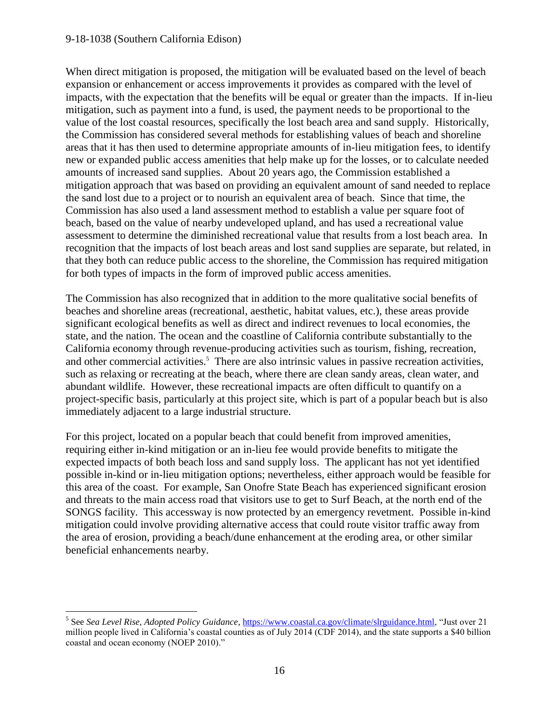$\overline{a}$ 

When direct mitigation is proposed, the mitigation will be evaluated based on the level of beach expansion or enhancement or access improvements it provides as compared with the level of impacts, with the expectation that the benefits will be equal or greater than the impacts. If in-lieu mitigation, such as payment into a fund, is used, the payment needs to be proportional to the value of the lost coastal resources, specifically the lost beach area and sand supply. Historically, the Commission has considered several methods for establishing values of beach and shoreline areas that it has then used to determine appropriate amounts of in-lieu mitigation fees, to identify new or expanded public access amenities that help make up for the losses, or to calculate needed amounts of increased sand supplies. About 20 years ago, the Commission established a mitigation approach that was based on providing an equivalent amount of sand needed to replace the sand lost due to a project or to nourish an equivalent area of beach. Since that time, the Commission has also used a land assessment method to establish a value per square foot of beach, based on the value of nearby undeveloped upland, and has used a recreational value assessment to determine the diminished recreational value that results from a lost beach area. In recognition that the impacts of lost beach areas and lost sand supplies are separate, but related, in that they both can reduce public access to the shoreline, the Commission has required mitigation for both types of impacts in the form of improved public access amenities.

The Commission has also recognized that in addition to the more qualitative social benefits of beaches and shoreline areas (recreational, aesthetic, habitat values, etc.), these areas provide significant ecological benefits as well as direct and indirect revenues to local economies, the state, and the nation. The ocean and the coastline of California contribute substantially to the California economy through revenue-producing activities such as tourism, fishing, recreation, and other commercial activities.<sup>5</sup> There are also intrinsic values in passive recreation activities, such as relaxing or recreating at the beach, where there are clean sandy areas, clean water, and abundant wildlife. However, these recreational impacts are often difficult to quantify on a project-specific basis, particularly at this project site, which is part of a popular beach but is also immediately adjacent to a large industrial structure.

For this project, located on a popular beach that could benefit from improved amenities, requiring either in-kind mitigation or an in-lieu fee would provide benefits to mitigate the expected impacts of both beach loss and sand supply loss. The applicant has not yet identified possible in-kind or in-lieu mitigation options; nevertheless, either approach would be feasible for this area of the coast. For example, San Onofre State Beach has experienced significant erosion and threats to the main access road that visitors use to get to Surf Beach, at the north end of the SONGS facility. This accessway is now protected by an emergency revetment. Possible in-kind mitigation could involve providing alternative access that could route visitor traffic away from the area of erosion, providing a beach/dune enhancement at the eroding area, or other similar beneficial enhancements nearby.

<sup>&</sup>lt;sup>5</sup> See *Sea Level Rise, Adopted Policy Guidance*[, https://www.coastal.ca.gov/climate/slrguidance.html,](https://www.coastal.ca.gov/climate/slrguidance.html) "Just over 21 million people lived in California's coastal counties as of July 2014 (CDF 2014), and the state supports a \$40 billion coastal and ocean economy (NOEP 2010)."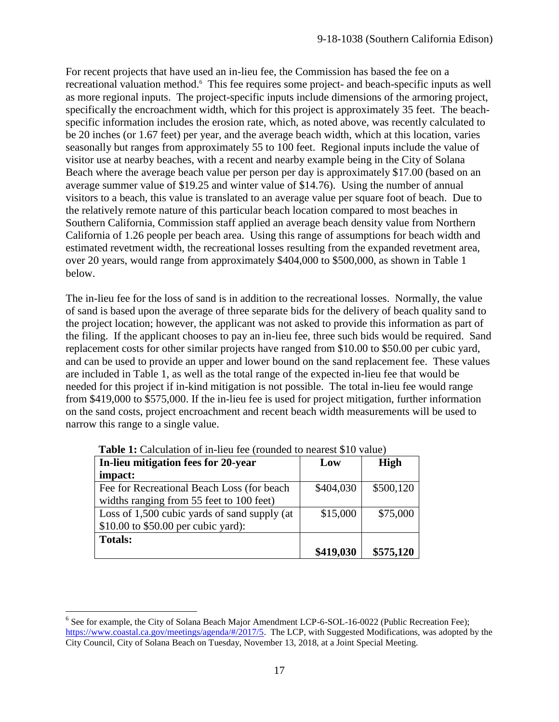For recent projects that have used an in-lieu fee, the Commission has based the fee on a recreational valuation method. 6 This fee requires some project- and beach-specific inputs as well as more regional inputs. The project-specific inputs include dimensions of the armoring project, specifically the encroachment width, which for this project is approximately 35 feet. The beachspecific information includes the erosion rate, which, as noted above, was recently calculated to be 20 inches (or 1.67 feet) per year, and the average beach width, which at this location, varies seasonally but ranges from approximately 55 to 100 feet. Regional inputs include the value of visitor use at nearby beaches, with a recent and nearby example being in the City of Solana Beach where the average beach value per person per day is approximately \$17.00 (based on an average summer value of \$19.25 and winter value of \$14.76). Using the number of annual visitors to a beach, this value is translated to an average value per square foot of beach. Due to the relatively remote nature of this particular beach location compared to most beaches in Southern California, Commission staff applied an average beach density value from Northern California of 1.26 people per beach area. Using this range of assumptions for beach width and estimated revetment width, the recreational losses resulting from the expanded revetment area, over 20 years, would range from approximately \$404,000 to \$500,000, as shown in Table 1 below.

The in-lieu fee for the loss of sand is in addition to the recreational losses. Normally, the value of sand is based upon the average of three separate bids for the delivery of beach quality sand to the project location; however, the applicant was not asked to provide this information as part of the filing. If the applicant chooses to pay an in-lieu fee, three such bids would be required. Sand replacement costs for other similar projects have ranged from \$10.00 to \$50.00 per cubic yard, and can be used to provide an upper and lower bound on the sand replacement fee. These values are included in Table 1, as well as the total range of the expected in-lieu fee that would be needed for this project if in-kind mitigation is not possible. The total in-lieu fee would range from \$419,000 to \$575,000. If the in-lieu fee is used for project mitigation, further information on the sand costs, project encroachment and recent beach width measurements will be used to narrow this range to a single value.

| In-lieu mitigation fees for 20-year          | Low       | <b>High</b> |
|----------------------------------------------|-----------|-------------|
| impact:                                      |           |             |
| Fee for Recreational Beach Loss (for beach   | \$404,030 | \$500,120   |
| widths ranging from 55 feet to 100 feet)     |           |             |
| Loss of 1,500 cubic yards of sand supply (at | \$15,000  | \$75,000    |
| \$10.00 to \$50.00 per cubic yard):          |           |             |
| <b>Totals:</b>                               |           |             |
|                                              | \$419,030 | \$575,120   |

**Table 1:** Calculation of in-lieu fee (rounded to nearest \$10 value)

<sup>&</sup>lt;sup>6</sup> See for example, the City of Solana Beach Major Amendment LCP-6-SOL-16-0022 (Public Recreation Fee); [https://www.coastal.ca.gov/meetings/agenda/#/2017/5.](https://www.coastal.ca.gov/meetings/agenda/#/2017/5) The LCP, with Suggested Modifications, was adopted by the City Council, City of Solana Beach on Tuesday, November 13, 2018, at a Joint Special Meeting.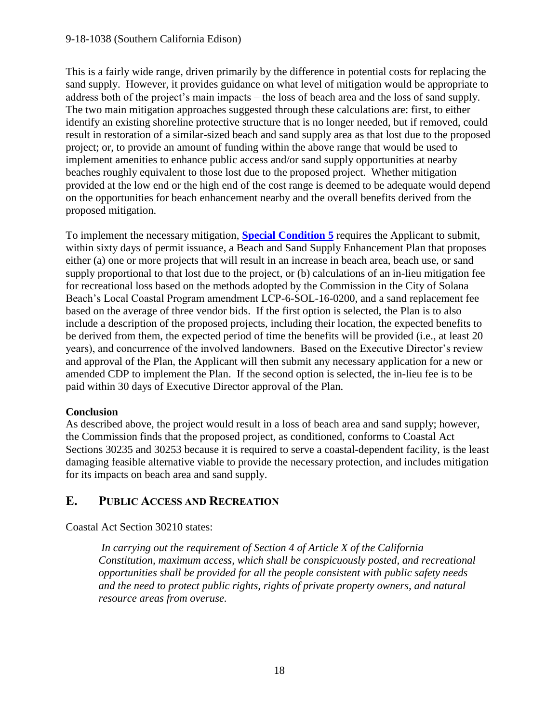This is a fairly wide range, driven primarily by the difference in potential costs for replacing the sand supply. However, it provides guidance on what level of mitigation would be appropriate to address both of the project's main impacts – the loss of beach area and the loss of sand supply. The two main mitigation approaches suggested through these calculations are: first, to either identify an existing shoreline protective structure that is no longer needed, but if removed, could result in restoration of a similar-sized beach and sand supply area as that lost due to the proposed project; or, to provide an amount of funding within the above range that would be used to implement amenities to enhance public access and/or sand supply opportunities at nearby beaches roughly equivalent to those lost due to the proposed project. Whether mitigation provided at the low end or the high end of the cost range is deemed to be adequate would depend on the opportunities for beach enhancement nearby and the overall benefits derived from the proposed mitigation.

To implement the necessary mitigation, **[Special Condition 5](#page-5-0)** requires the Applicant to submit, within sixty days of permit issuance, a Beach and Sand Supply Enhancement Plan that proposes either (a) one or more projects that will result in an increase in beach area, beach use, or sand supply proportional to that lost due to the project, or (b) calculations of an in-lieu mitigation fee for recreational loss based on the methods adopted by the Commission in the City of Solana Beach's Local Coastal Program amendment LCP-6-SOL-16-0200, and a sand replacement fee based on the average of three vendor bids. If the first option is selected, the Plan is to also include a description of the proposed projects, including their location, the expected benefits to be derived from them, the expected period of time the benefits will be provided (i.e., at least 20 years), and concurrence of the involved landowners. Based on the Executive Director's review and approval of the Plan, the Applicant will then submit any necessary application for a new or amended CDP to implement the Plan. If the second option is selected, the in-lieu fee is to be paid within 30 days of Executive Director approval of the Plan.

#### **Conclusion**

As described above, the project would result in a loss of beach area and sand supply; however, the Commission finds that the proposed project, as conditioned, conforms to Coastal Act Sections 30235 and 30253 because it is required to serve a coastal-dependent facility, is the least damaging feasible alternative viable to provide the necessary protection, and includes mitigation for its impacts on beach area and sand supply.

## <span id="page-17-0"></span>**E. PUBLIC ACCESS AND RECREATION**

Coastal Act Section 30210 states:

*In carrying out the requirement of Section 4 of Article X of the California Constitution, maximum access, which shall be conspicuously posted, and recreational opportunities shall be provided for all the people consistent with public safety needs and the need to protect public rights, rights of private property owners, and natural resource areas from overuse.*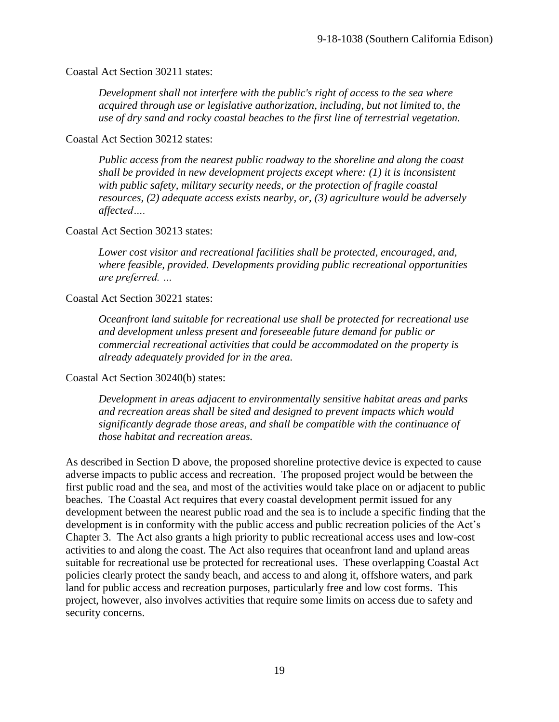Coastal Act Section 30211 states:

*Development shall not interfere with the public's right of access to the sea where acquired through use or legislative authorization, including, but not limited to, the use of dry sand and rocky coastal beaches to the first line of terrestrial vegetation.*

Coastal Act Section 30212 states:

*Public access from the nearest public roadway to the shoreline and along the coast shall be provided in new development projects except where: (1) it is inconsistent with public safety, military security needs, or the protection of fragile coastal resources, (2) adequate access exists nearby, or, (3) agriculture would be adversely affected….*

Coastal Act Section 30213 states:

*Lower cost visitor and recreational facilities shall be protected, encouraged, and, where feasible, provided. Developments providing public recreational opportunities are preferred. …*

Coastal Act Section 30221 states:

*Oceanfront land suitable for recreational use shall be protected for recreational use and development unless present and foreseeable future demand for public or commercial recreational activities that could be accommodated on the property is already adequately provided for in the area.*

Coastal Act Section 30240(b) states:

*Development in areas adjacent to environmentally sensitive habitat areas and parks and recreation areas shall be sited and designed to prevent impacts which would significantly degrade those areas, and shall be compatible with the continuance of those habitat and recreation areas.*

As described in Section D above, the proposed shoreline protective device is expected to cause adverse impacts to public access and recreation. The proposed project would be between the first public road and the sea, and most of the activities would take place on or adjacent to public beaches. The Coastal Act requires that every coastal development permit issued for any development between the nearest public road and the sea is to include a specific finding that the development is in conformity with the public access and public recreation policies of the Act's Chapter 3. The Act also grants a high priority to public recreational access uses and low-cost activities to and along the coast. The Act also requires that oceanfront land and upland areas suitable for recreational use be protected for recreational uses. These overlapping Coastal Act policies clearly protect the sandy beach, and access to and along it, offshore waters, and park land for public access and recreation purposes, particularly free and low cost forms. This project, however, also involves activities that require some limits on access due to safety and security concerns.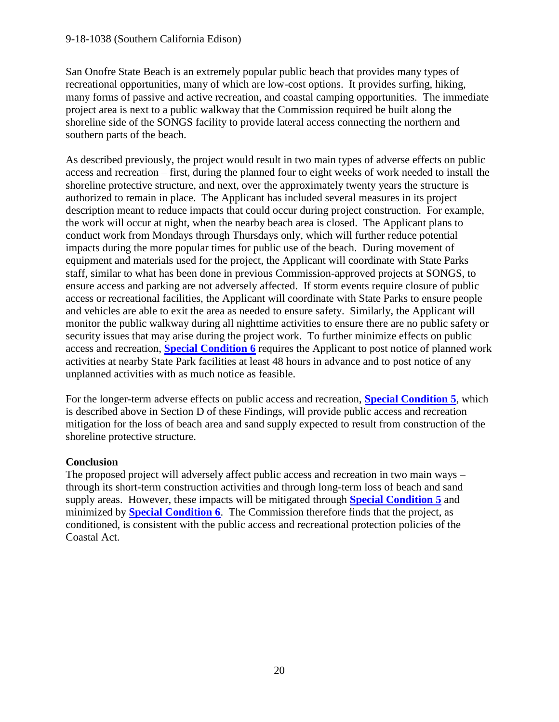San Onofre State Beach is an extremely popular public beach that provides many types of recreational opportunities, many of which are low-cost options. It provides surfing, hiking, many forms of passive and active recreation, and coastal camping opportunities. The immediate project area is next to a public walkway that the Commission required be built along the shoreline side of the SONGS facility to provide lateral access connecting the northern and southern parts of the beach.

As described previously, the project would result in two main types of adverse effects on public access and recreation – first, during the planned four to eight weeks of work needed to install the shoreline protective structure, and next, over the approximately twenty years the structure is authorized to remain in place. The Applicant has included several measures in its project description meant to reduce impacts that could occur during project construction. For example, the work will occur at night, when the nearby beach area is closed. The Applicant plans to conduct work from Mondays through Thursdays only, which will further reduce potential impacts during the more popular times for public use of the beach. During movement of equipment and materials used for the project, the Applicant will coordinate with State Parks staff, similar to what has been done in previous Commission-approved projects at SONGS, to ensure access and parking are not adversely affected. If storm events require closure of public access or recreational facilities, the Applicant will coordinate with State Parks to ensure people and vehicles are able to exit the area as needed to ensure safety. Similarly, the Applicant will monitor the public walkway during all nighttime activities to ensure there are no public safety or security issues that may arise during the project work. To further minimize effects on public access and recreation, **[Special Condition 6](#page-5-1)** requires the Applicant to post notice of planned work activities at nearby State Park facilities at least 48 hours in advance and to post notice of any unplanned activities with as much notice as feasible.

For the longer-term adverse effects on public access and recreation, **[Special Condition 5](#page-5-0)**, which is described above in Section D of these Findings, will provide public access and recreation mitigation for the loss of beach area and sand supply expected to result from construction of the shoreline protective structure.

#### **Conclusion**

The proposed project will adversely affect public access and recreation in two main ways – through its short-term construction activities and through long-term loss of beach and sand supply areas. However, these impacts will be mitigated through **Special [Condition](#page-5-0) 5** and minimized by **[Special Condition 6](#page-5-1)**. The Commission therefore finds that the project, as conditioned, is consistent with the public access and recreational protection policies of the Coastal Act.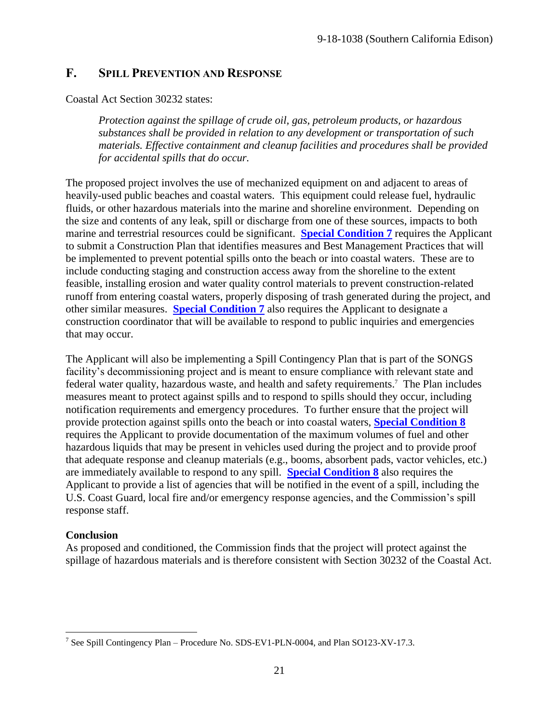## <span id="page-20-0"></span>**F. SPILL PREVENTION AND RESPONSE**

Coastal Act Section 30232 states:

*Protection against the spillage of crude oil, gas, petroleum products, or hazardous substances shall be provided in relation to any development or transportation of such materials. Effective containment and cleanup facilities and procedures shall be provided for accidental spills that do occur.*

The proposed project involves the use of mechanized equipment on and adjacent to areas of heavily-used public beaches and coastal waters. This equipment could release fuel, hydraulic fluids, or other hazardous materials into the marine and shoreline environment. Depending on the size and contents of any leak, spill or discharge from one of these sources, impacts to both marine and terrestrial resources could be significant. **[Special Condition 7](#page-6-0)** requires the Applicant to submit a Construction Plan that identifies measures and Best Management Practices that will be implemented to prevent potential spills onto the beach or into coastal waters. These are to include conducting staging and construction access away from the shoreline to the extent feasible, installing erosion and water quality control materials to prevent construction-related runoff from entering coastal waters, properly disposing of trash generated during the project, and other similar measures. **[Special Condition 7](#page-6-0)** also requires the Applicant to designate a construction coordinator that will be available to respond to public inquiries and emergencies that may occur.

The Applicant will also be implementing a Spill Contingency Plan that is part of the SONGS facility's decommissioning project and is meant to ensure compliance with relevant state and federal water quality, hazardous waste, and health and safety requirements. 7 The Plan includes measures meant to protect against spills and to respond to spills should they occur, including notification requirements and emergency procedures. To further ensure that the project will provide protection against spills onto the beach or into coastal waters, **[Special Condition 8](#page-7-0)** requires the Applicant to provide documentation of the maximum volumes of fuel and other hazardous liquids that may be present in vehicles used during the project and to provide proof that adequate response and cleanup materials (e.g., booms, absorbent pads, vactor vehicles, etc.) are immediately available to respond to any spill. **[Special Condition 8](#page-7-0)** also requires the Applicant to provide a list of agencies that will be notified in the event of a spill, including the U.S. Coast Guard, local fire and/or emergency response agencies, and the Commission's spill response staff.

#### **Conclusion**

As proposed and conditioned, the Commission finds that the project will protect against the spillage of hazardous materials and is therefore consistent with Section 30232 of the Coastal Act.

<sup>&</sup>lt;sup>7</sup> See Spill Contingency Plan – Procedure No. SDS-EV1-PLN-0004, and Plan SO123-XV-17.3.